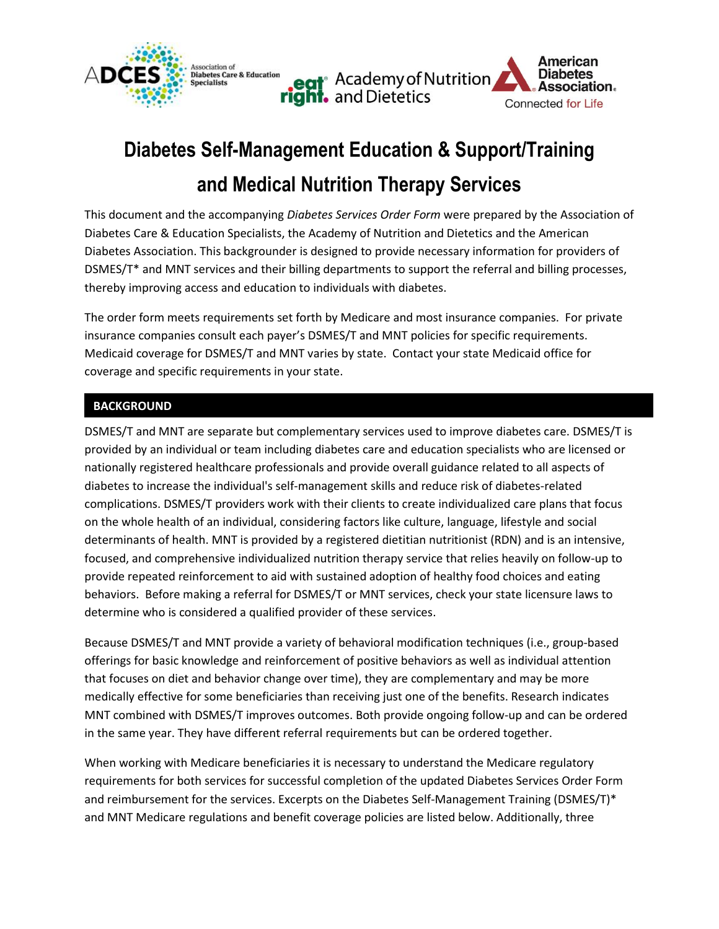

# **Diabetes Self-Management Education & Support/Training and Medical Nutrition Therapy Services**

This document and the accompanying *Diabetes Services Order Form* were prepared by the Association of Diabetes Care & Education Specialists, the Academy of Nutrition and Dietetics and the American Diabetes Association. This backgrounder is designed to provide necessary information for providers of DSMES/T\* and MNT services and their billing departments to support the referral and billing processes, thereby improving access and education to individuals with diabetes.

The order form meets requirements set forth by Medicare and most insurance companies. For private insurance companies consult each payer's DSMES/T and MNT policies for specific requirements. Medicaid coverage for DSMES/T and MNT varies by state. Contact your state Medicaid office for coverage and specific requirements in your state.

## **BACKGROUND**

DSMES/T and MNT are separate but complementary services used to improve diabetes care. DSMES/T is provided by an individual or team including diabetes care and education specialists who are licensed or nationally registered healthcare professionals and provide overall guidance related to all aspects of diabetes to increase the individual's self-management skills and reduce risk of diabetes-related complications. DSMES/T providers work with their clients to create individualized care plans that focus on the whole health of an individual, considering factors like culture, language, lifestyle and social determinants of health. MNT is provided by a registered dietitian nutritionist (RDN) and is an intensive, focused, and comprehensive individualized nutrition therapy service that relies heavily on follow-up to provide repeated reinforcement to aid with sustained adoption of healthy food choices and eating behaviors. Before making a referral for DSMES/T or MNT services, check your state licensure laws to determine who is considered a qualified provider of these services.

Because DSMES/T and MNT provide a variety of behavioral modification techniques (i.e., group-based offerings for basic knowledge and reinforcement of positive behaviors as well as individual attention that focuses on diet and behavior change over time), they are complementary and may be more medically effective for some beneficiaries than receiving just one of the benefits. Research indicates MNT combined with DSMES/T improves outcomes. Both provide ongoing follow-up and can be ordered in the same year. They have different referral requirements but can be ordered together.

When working with Medicare beneficiaries it is necessary to understand the Medicare regulatory requirements for both services for successful completion of the updated Diabetes Services Order Form and reimbursement for the services. Excerpts on the Diabetes Self-Management Training (DSMES/T)\* and MNT Medicare regulations and benefit coverage policies are listed below. Additionally, three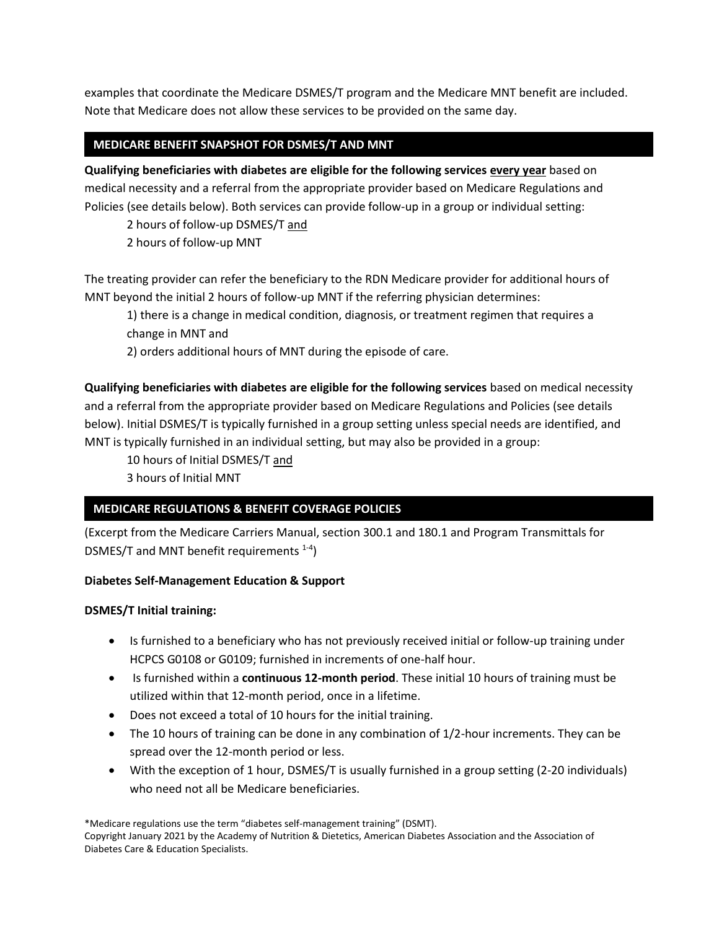examples that coordinate the Medicare DSMES/T program and the Medicare MNT benefit are included. Note that Medicare does not allow these services to be provided on the same day.

## **MEDICARE BENEFIT SNAPSHOT FOR DSMES/T AND MNT**

**Qualifying beneficiaries with diabetes are eligible for the following services every year** based on medical necessity and a referral from the appropriate provider based on Medicare Regulations and Policies (see details below). Both services can provide follow-up in a group or individual setting:

2 hours of follow-up DSMES/T and

2 hours of follow-up MNT

The treating provider can refer the beneficiary to the RDN Medicare provider for additional hours of MNT beyond the initial 2 hours of follow-up MNT if the referring physician determines:

1) there is a change in medical condition, diagnosis, or treatment regimen that requires a change in MNT and

2) orders additional hours of MNT during the episode of care.

**Qualifying beneficiaries with diabetes are eligible for the following services** based on medical necessity and a referral from the appropriate provider based on Medicare Regulations and Policies (see details below). Initial DSMES/T is typically furnished in a group setting unless special needs are identified, and MNT is typically furnished in an individual setting, but may also be provided in a group:

10 hours of Initial DSMES/T and

3 hours of Initial MNT

# **MEDICARE REGULATIONS & BENEFIT COVERAGE POLICIES**

(Excerpt from the Medicare Carriers Manual, section 300.1 and 180.1 and Program Transmittals for DSMES/T and MNT benefit requirements  $^{1-4}$ )

## **Diabetes Self-Management Education & Support**

## **DSMES/T Initial training:**

- Is furnished to a beneficiary who has not previously received initial or follow-up training under HCPCS G0108 or G0109; furnished in increments of one-half hour.
- Is furnished within a **continuous 12-month period**. These initial 10 hours of training must be utilized within that 12-month period, once in a lifetime.
- Does not exceed a total of 10 hours for the initial training.
- The 10 hours of training can be done in any combination of 1/2-hour increments. They can be spread over the 12-month period or less.
- With the exception of 1 hour, DSMES/T is usually furnished in a group setting (2-20 individuals) who need not all be Medicare beneficiaries.

\*Medicare regulations use the term "diabetes self-management training" (DSMT).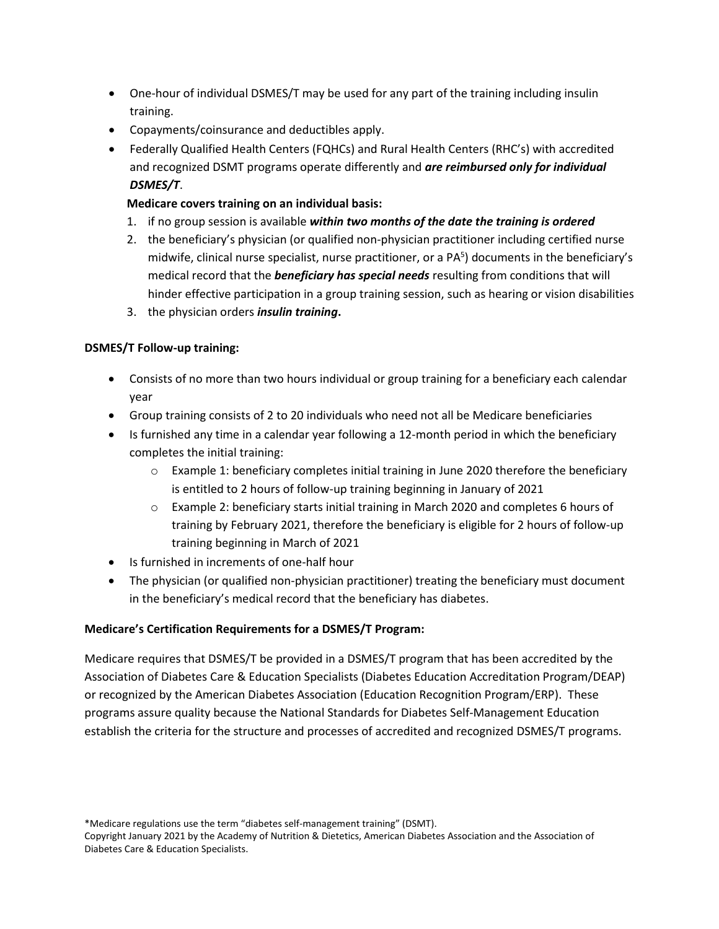- One-hour of individual DSMES/T may be used for any part of the training including insulin training.
- Copayments/coinsurance and deductibles apply.
- Federally Qualified Health Centers (FQHCs) and Rural Health Centers (RHC's) with accredited and recognized DSMT programs operate differently and *are reimbursed only for individual DSMES/T*.

## **Medicare covers training on an individual basis:**

- 1. if no group session is available *within two months of the date the training is ordered*
- 2. the beneficiary's physician (or qualified non-physician practitioner including certified nurse midwife, clinical nurse specialist, nurse practitioner, or a PA<sup>5</sup>) documents in the beneficiary's medical record that the *beneficiary has special needs* resulting from conditions that will hinder effective participation in a group training session, such as hearing or vision disabilities
- 3. the physician orders *insulin training***.**

#### **DSMES/T Follow-up training:**

- Consists of no more than two hours individual or group training for a beneficiary each calendar year
- Group training consists of 2 to 20 individuals who need not all be Medicare beneficiaries
- Is furnished any time in a calendar year following a 12-month period in which the beneficiary completes the initial training:
	- o Example 1: beneficiary completes initial training in June 2020 therefore the beneficiary is entitled to 2 hours of follow-up training beginning in January of 2021
	- o Example 2: beneficiary starts initial training in March 2020 and completes 6 hours of training by February 2021, therefore the beneficiary is eligible for 2 hours of follow-up training beginning in March of 2021
- Is furnished in increments of one-half hour
- The physician (or qualified non-physician practitioner) treating the beneficiary must document in the beneficiary's medical record that the beneficiary has diabetes.

#### **Medicare's Certification Requirements for a DSMES/T Program:**

Medicare requires that DSMES/T be provided in a DSMES/T program that has been accredited by the Association of Diabetes Care & Education Specialists (Diabetes Education Accreditation Program/DEAP) or recognized by the American Diabetes Association (Education Recognition Program/ERP). These programs assure quality because the National Standards for Diabetes Self-Management Education establish the criteria for the structure and processes of accredited and recognized DSMES/T programs.

\*Medicare regulations use the term "diabetes self-management training" (DSMT).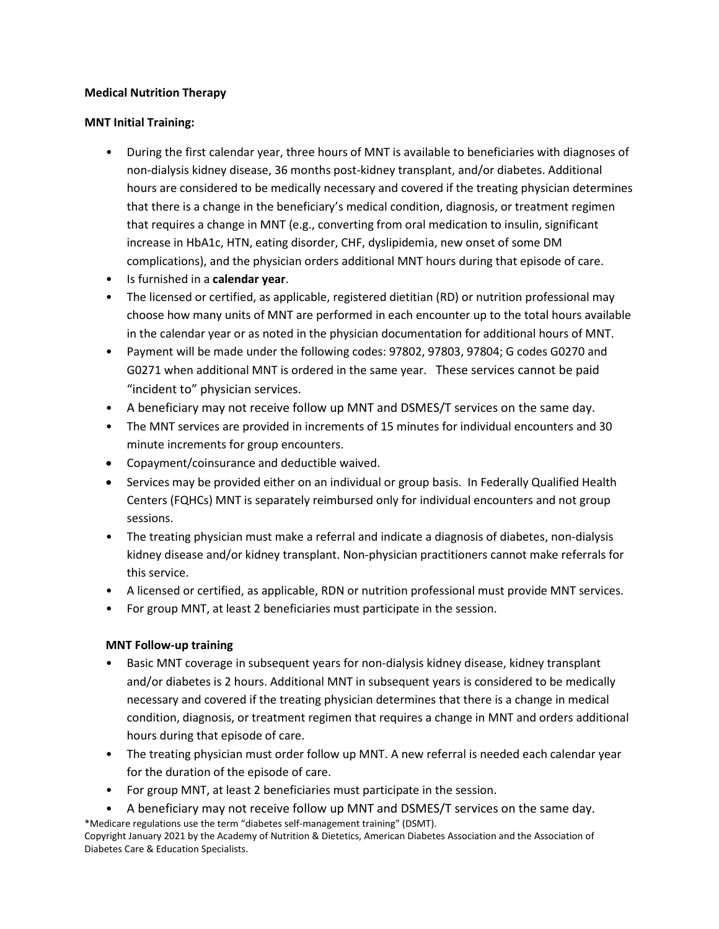#### **Medical Nutrition Therapy**

#### **MNT Initial Training:**

- During the first calendar year, three hours of MNT is available to beneficiaries with diagnoses of non-dialysis kidney disease, 36 months post-kidney transplant, and/or diabetes. Additional hours are considered to be medically necessary and covered if the treating physician determines that there is a change in the beneficiary's medical condition, diagnosis, or treatment regimen that requires a change in MNT (e.g., converting from oral medication to insulin, significant increase in HbA1c, HTN, eating disorder, CHF, dyslipidemia, new onset of some DM complications), and the physician orders additional MNT hours during that episode of care.
- Is furnished in a **calendar year**.
- The licensed or certified, as applicable, registered dietitian (RD) or nutrition professional may choose how many units of MNT are performed in each encounter up to the total hours available in the calendar year or as noted in the physician documentation for additional hours of MNT.
- Payment will be made under the following codes: 97802, 97803, 97804; G codes G0270 and G0271 when additional MNT is ordered in the same year. These services cannot be paid "incident to" physician services.
- A beneficiary may not receive follow up MNT and DSMES/T services on the same day.
- The MNT services are provided in increments of 15 minutes for individual encounters and 30 minute increments for group encounters.
- Copayment/coinsurance and deductible waived.
- Services may be provided either on an individual or group basis. In Federally Qualified Health Centers (FQHCs) MNT is separately reimbursed only for individual encounters and not group sessions.
- The treating physician must make a referral and indicate a diagnosis of diabetes, non-dialysis kidney disease and/or kidney transplant. Non-physician practitioners cannot make referrals for this service.
- A licensed or certified, as applicable, RDN or nutrition professional must provide MNT services.
- For group MNT, at least 2 beneficiaries must participate in the session.

## **MNT Follow-up training**

- Basic MNT coverage in subsequent years for non-dialysis kidney disease, kidney transplant and/or diabetes is 2 hours. Additional MNT in subsequent years is considered to be medically necessary and covered if the treating physician determines that there is a change in medical condition, diagnosis, or treatment regimen that requires a change in MNT and orders additional hours during that episode of care.
- The treating physician must order follow up MNT. A new referral is needed each calendar year for the duration of the episode of care.
- For group MNT, at least 2 beneficiaries must participate in the session.
- \*Medicare regulations use the term "diabetes self-management training" (DSMT). • A beneficiary may not receive follow up MNT and DSMES/T services on the same day.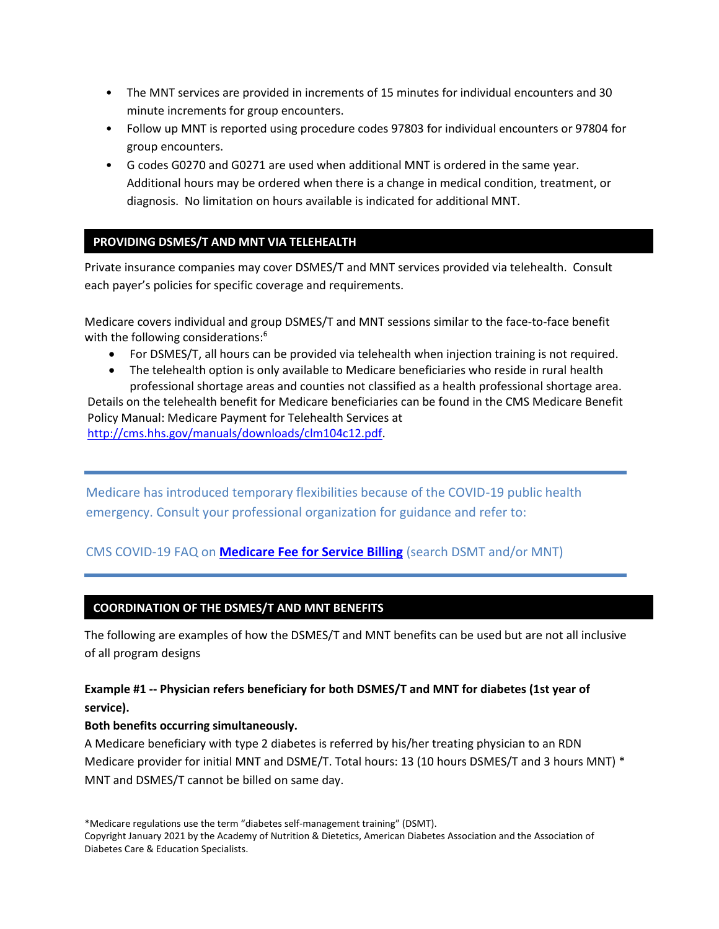- The MNT services are provided in increments of 15 minutes for individual encounters and 30 minute increments for group encounters.
- Follow up MNT is reported using procedure codes 97803 for individual encounters or 97804 for group encounters.
- G codes G0270 and G0271 are used when additional MNT is ordered in the same year. Additional hours may be ordered when there is a change in medical condition, treatment, or diagnosis. No limitation on hours available is indicated for additional MNT.

## **PROVIDING DSMES/T AND MNT VIA TELEHEALTH**

Private insurance companies may cover DSMES/T and MNT services provided via telehealth. Consult each payer's policies for specific coverage and requirements.

Medicare covers individual and group DSMES/T and MNT sessions similar to the face-to-face benefit with the following considerations:<sup>6</sup>

- For DSMES/T, all hours can be provided via telehealth when injection training is not required.
- The telehealth option is only available to Medicare beneficiaries who reside in rural health professional shortage areas and counties not classified as a health professional shortage area.

Details on the telehealth benefit for Medicare beneficiaries can be found in the CMS Medicare Benefit Policy Manual: Medicare Payment for Telehealth Services at [http://cms.hhs.gov/manuals/downloads/clm104c12.pdf.](http://cms.hhs.gov/manuals/downloads/clm104c12.pdf)

Medicare has introduced temporary flexibilities because of the COVID-19 public health emergency. Consult your professional organization for guidance and refer to:

# CMS COVID-19 FAQ on **[Medicare Fee for Service Billing](https://www.cms.gov/files/document/03092020-covid-19-faqs-508.pdf)** (search DSMT and/or MNT)

#### **COORDINATION OF THE DSMES/T AND MNT BENEFITS**

The following are examples of how the DSMES/T and MNT benefits can be used but are not all inclusive of all program designs

## **Example #1 -- Physician refers beneficiary for both DSMES/T and MNT for diabetes (1st year of service).**

#### **Both benefits occurring simultaneously.**

A Medicare beneficiary with type 2 diabetes is referred by his/her treating physician to an RDN Medicare provider for initial MNT and DSME/T. Total hours: 13 (10 hours DSMES/T and 3 hours MNT) \* MNT and DSMES/T cannot be billed on same day.

\*Medicare regulations use the term "diabetes self-management training" (DSMT).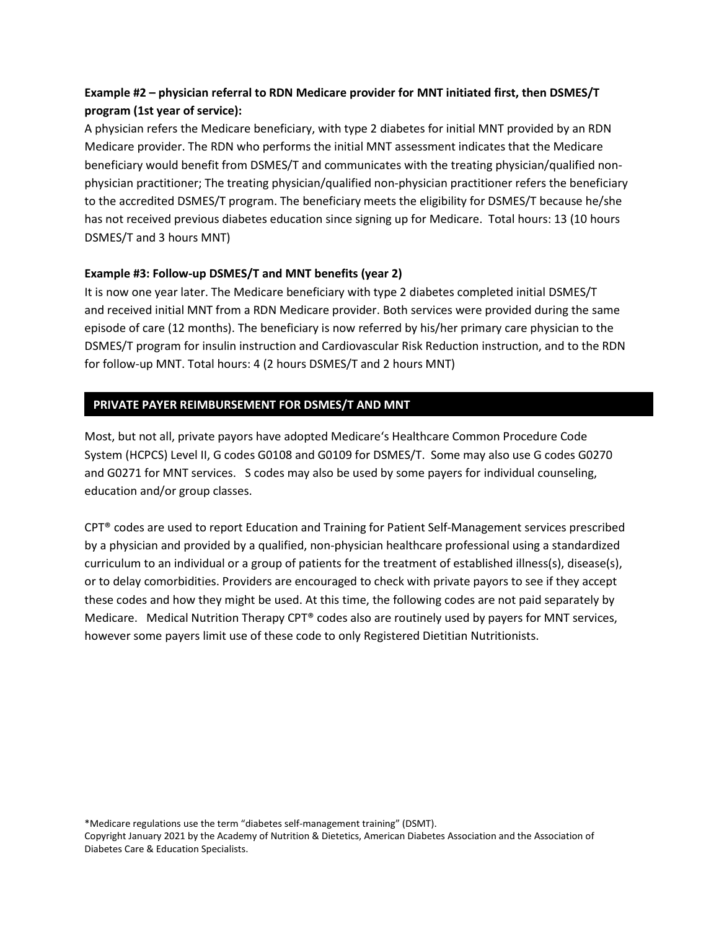# **Example #2 – physician referral to RDN Medicare provider for MNT initiated first, then DSMES/T program (1st year of service):**

A physician refers the Medicare beneficiary, with type 2 diabetes for initial MNT provided by an RDN Medicare provider. The RDN who performs the initial MNT assessment indicates that the Medicare beneficiary would benefit from DSMES/T and communicates with the treating physician/qualified nonphysician practitioner; The treating physician/qualified non-physician practitioner refers the beneficiary to the accredited DSMES/T program. The beneficiary meets the eligibility for DSMES/T because he/she has not received previous diabetes education since signing up for Medicare. Total hours: 13 (10 hours DSMES/T and 3 hours MNT)

#### **Example #3: Follow-up DSMES/T and MNT benefits (year 2)**

It is now one year later. The Medicare beneficiary with type 2 diabetes completed initial DSMES/T and received initial MNT from a RDN Medicare provider. Both services were provided during the same episode of care (12 months). The beneficiary is now referred by his/her primary care physician to the DSMES/T program for insulin instruction and Cardiovascular Risk Reduction instruction, and to the RDN for follow-up MNT. Total hours: 4 (2 hours DSMES/T and 2 hours MNT)

#### **PRIVATE PAYER REIMBURSEMENT FOR DSMES/T AND MNT**

Most, but not all, private payors have adopted Medicare's Healthcare Common Procedure Code System (HCPCS) Level II, G codes G0108 and G0109 for DSMES/T. Some may also use G codes G0270 and G0271 for MNT services. S codes may also be used by some payers for individual counseling, education and/or group classes.

CPT® codes are used to report Education and Training for Patient Self-Management services prescribed by a physician and provided by a qualified, non-physician healthcare professional using a standardized curriculum to an individual or a group of patients for the treatment of established illness(s), disease(s), or to delay comorbidities. Providers are encouraged to check with private payors to see if they accept these codes and how they might be used. At this time, the following codes are not paid separately by Medicare. Medical Nutrition Therapy CPT® codes also are routinely used by payers for MNT services, however some payers limit use of these code to only Registered Dietitian Nutritionists.

\*Medicare regulations use the term "diabetes self-management training" (DSMT).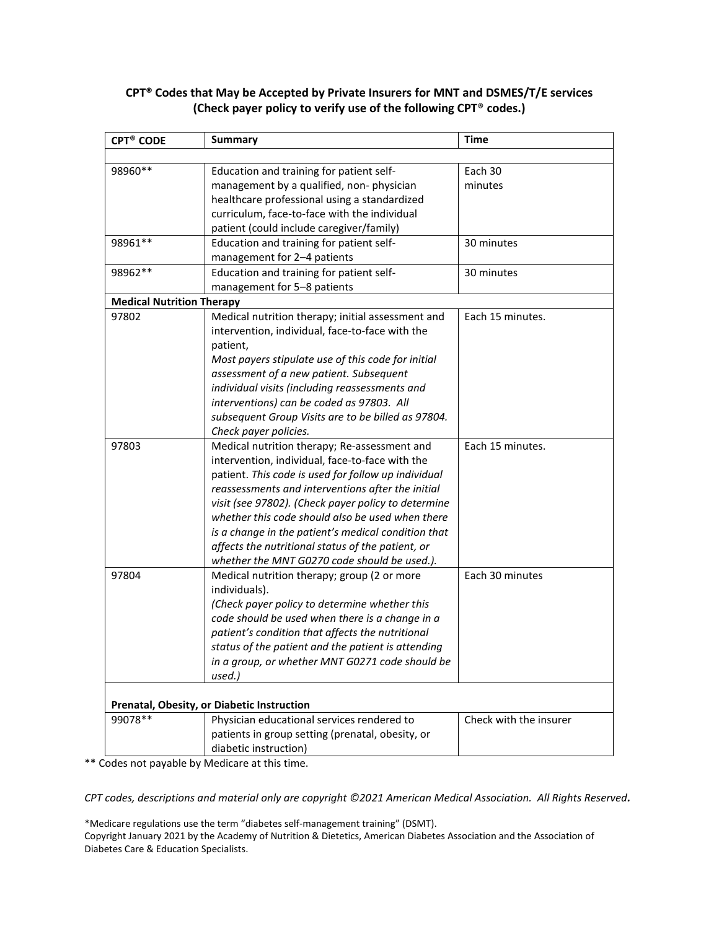#### **CPT® Codes that May be Accepted by Private Insurers for MNT and DSMES/T/E services (Check payer policy to verify use of the following CPT**® **codes.)**

| <b>CPT<sup>®</sup> CODE</b>                | <b>Summary</b>                                      | <b>Time</b>            |
|--------------------------------------------|-----------------------------------------------------|------------------------|
|                                            |                                                     |                        |
| 98960**                                    | Education and training for patient self-            | Each 30                |
|                                            | management by a qualified, non-physician            | minutes                |
|                                            | healthcare professional using a standardized        |                        |
|                                            | curriculum, face-to-face with the individual        |                        |
|                                            | patient (could include caregiver/family)            |                        |
| 98961 **                                   | Education and training for patient self-            | 30 minutes             |
|                                            | management for 2-4 patients                         |                        |
| 98962 **                                   | Education and training for patient self-            | 30 minutes             |
|                                            | management for 5-8 patients                         |                        |
| <b>Medical Nutrition Therapy</b>           |                                                     |                        |
| 97802                                      | Medical nutrition therapy; initial assessment and   | Each 15 minutes.       |
|                                            | intervention, individual, face-to-face with the     |                        |
|                                            | patient,                                            |                        |
|                                            | Most payers stipulate use of this code for initial  |                        |
|                                            | assessment of a new patient. Subsequent             |                        |
|                                            | individual visits (including reassessments and      |                        |
|                                            | interventions) can be coded as 97803. All           |                        |
|                                            | subsequent Group Visits are to be billed as 97804.  |                        |
|                                            | Check payer policies.                               |                        |
| 97803                                      | Medical nutrition therapy; Re-assessment and        | Each 15 minutes.       |
|                                            | intervention, individual, face-to-face with the     |                        |
|                                            | patient. This code is used for follow up individual |                        |
|                                            | reassessments and interventions after the initial   |                        |
|                                            | visit (see 97802). (Check payer policy to determine |                        |
|                                            | whether this code should also be used when there    |                        |
|                                            | is a change in the patient's medical condition that |                        |
|                                            | affects the nutritional status of the patient, or   |                        |
|                                            | whether the MNT G0270 code should be used.).        |                        |
| 97804                                      | Medical nutrition therapy; group (2 or more         | Each 30 minutes        |
|                                            | individuals).                                       |                        |
|                                            | (Check payer policy to determine whether this       |                        |
|                                            | code should be used when there is a change in a     |                        |
|                                            | patient's condition that affects the nutritional    |                        |
|                                            | status of the patient and the patient is attending  |                        |
|                                            | in a group, or whether MNT G0271 code should be     |                        |
|                                            | used.)                                              |                        |
| Prenatal, Obesity, or Diabetic Instruction |                                                     |                        |
| 99078**                                    | Physician educational services rendered to          | Check with the insurer |
|                                            | patients in group setting (prenatal, obesity, or    |                        |
|                                            | diabetic instruction)                               |                        |

\*\* Codes not payable by Medicare at this time.

*CPT codes, descriptions and material only are copyright ©2021 American Medical Association. All Rights Reserved.* 

\*Medicare regulations use the term "diabetes self-management training" (DSMT). Copyright January 2021 by the Academy of Nutrition & Dietetics, American Diabetes Association and the Association of Diabetes Care & Education Specialists.